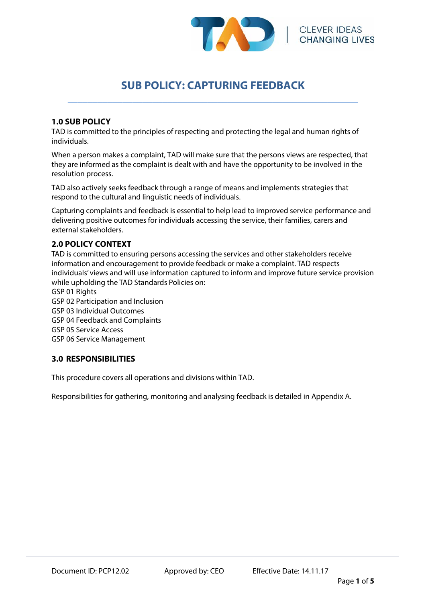

# **SUB POLICY: CAPTURING FEEDBACK**  \_\_\_\_\_\_\_\_\_\_\_\_\_\_\_\_\_\_\_\_\_\_\_\_\_\_\_\_\_\_\_\_\_\_\_\_\_\_\_\_\_\_\_\_\_\_\_\_\_\_\_\_\_\_\_\_\_\_

#### **1.0 SUB POLICY**

TAD is committed to the principles of respecting and protecting the legal and human rights of individuals.

When a person makes a complaint, TAD will make sure that the persons views are respected, that they are informed as the complaint is dealt with and have the opportunity to be involved in the resolution process.

TAD also actively seeks feedback through a range of means and implements strategies that respond to the cultural and linguistic needs of individuals.

Capturing complaints and feedback is essential to help lead to improved service performance and delivering positive outcomes for individuals accessing the service, their families, carers and external stakeholders.

#### **2.0 POLICY CONTEXT**

TAD is committed to ensuring persons accessing the services and other stakeholders receive information and encouragement to provide feedback or make a complaint. TAD respects individuals' views and will use information captured to inform and improve future service provision while upholding the TAD Standards Policies on:

GSP 01 Rights GSP 02 Participation and Inclusion GSP 03 Individual Outcomes GSP 04 Feedback and Complaints GSP 05 Service Access GSP 06 Service Management

### **3.0 RESPONSIBILITIES**

Ξ

This procedure covers all operations and divisions within TAD.

Responsibilities for gathering, monitoring and analysing feedback is detailed in Appendix A.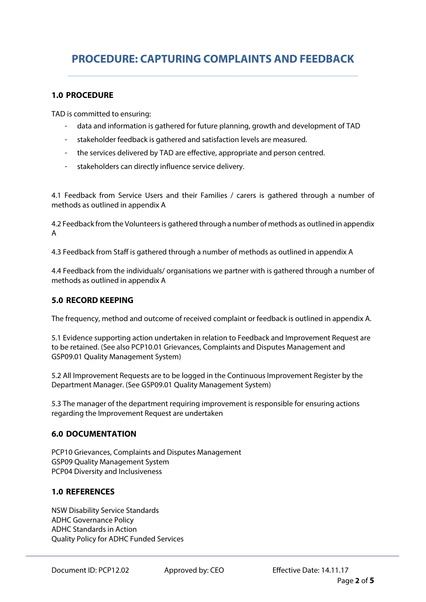# **PROCEDURE: CAPTURING COMPLAINTS AND FEEDBACK**  \_\_\_\_\_\_\_\_\_\_\_\_\_\_\_\_\_\_\_\_\_\_\_\_\_\_\_\_\_\_\_\_\_\_\_\_\_\_\_\_\_\_\_\_\_\_\_\_\_\_\_\_\_\_\_\_\_\_

#### **1.0 PROCEDURE**

TAD is committed to ensuring:

- data and information is gathered for future planning, growth and development of TAD
- stakeholder feedback is gathered and satisfaction levels are measured.
- the services delivered by TAD are effective, appropriate and person centred.
- stakeholders can directly influence service delivery.

4.1 Feedback from Service Users and their Families / carers is gathered through a number of methods as outlined in appendix A

4.2 Feedback from the Volunteers is gathered through a number of methods as outlined in appendix A

4.3 Feedback from Staff is gathered through a number of methods as outlined in appendix A

4.4 Feedback from the individuals/ organisations we partner with is gathered through a number of methods as outlined in appendix A

#### **5.0 RECORD KEEPING**

The frequency, method and outcome of received complaint or feedback is outlined in appendix A.

5.1 Evidence supporting action undertaken in relation to Feedback and Improvement Request are to be retained. (See also PCP10.01 Grievances, Complaints and Disputes Management and GSP09.01 Quality Management System)

5.2 All Improvement Requests are to be logged in the Continuous Improvement Register by the Department Manager. (See GSP09.01 Quality Management System)

5.3 The manager of the department requiring improvement is responsible for ensuring actions regarding the Improvement Request are undertaken

#### **6.0 DOCUMENTATION**

PCP10 Grievances, Complaints and Disputes Management GSP09 Quality Management System PCP04 Diversity and Inclusiveness

### **1.0 REFERENCES**

NSW Disability Service Standards ADHC Governance Policy ADHC Standards in Action Quality Policy for ADHC Funded Services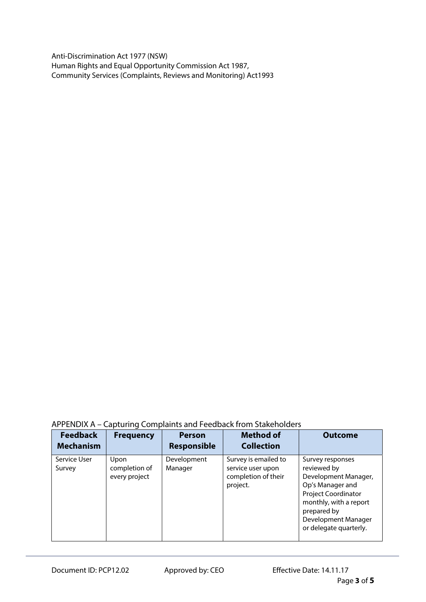Anti-Discrimination Act 1977 (NSW) Human Rights and Equal Opportunity Commission Act 1987, Community Services (Complaints, Reviews and Monitoring) Act1993

## APPENDIX A – Capturing Complaints and Feedback from Stakeholders

| <b>Feedback</b><br><b>Mechanism</b> | <b>Frequency</b>                       | <b>Person</b><br><b>Responsible</b> | <b>Method of</b><br><b>Collection</b>                                        | <b>Outcome</b>                                                                                                                                                                                      |
|-------------------------------------|----------------------------------------|-------------------------------------|------------------------------------------------------------------------------|-----------------------------------------------------------------------------------------------------------------------------------------------------------------------------------------------------|
| Service User<br>Survey              | Upon<br>completion of<br>every project | Development<br>Manager              | Survey is emailed to<br>service user upon<br>completion of their<br>project. | Survey responses<br>reviewed by<br>Development Manager,<br>Op's Manager and<br><b>Project Coordinator</b><br>monthly, with a report<br>prepared by<br>Development Manager<br>or delegate quarterly. |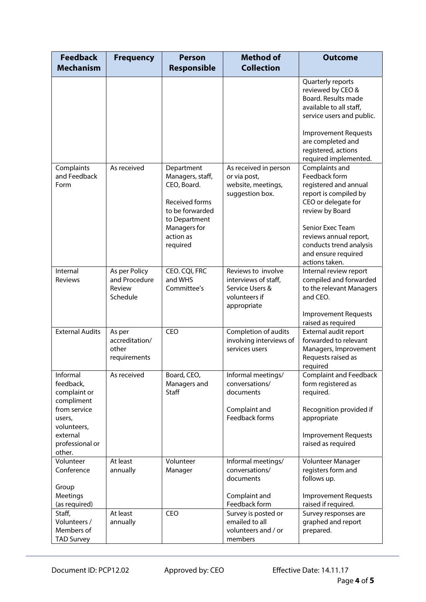| <b>Feedback</b><br><b>Mechanism</b>                                            | <b>Frequency</b>                                     | <b>Person</b><br><b>Responsible</b>                                                                                                          | <b>Method of</b><br><b>Collection</b>                                                         | <b>Outcome</b>                                                                                                                                                                                                                                |
|--------------------------------------------------------------------------------|------------------------------------------------------|----------------------------------------------------------------------------------------------------------------------------------------------|-----------------------------------------------------------------------------------------------|-----------------------------------------------------------------------------------------------------------------------------------------------------------------------------------------------------------------------------------------------|
|                                                                                |                                                      |                                                                                                                                              |                                                                                               | Quarterly reports<br>reviewed by CEO &<br>Board. Results made<br>available to all staff,<br>service users and public.<br><b>Improvement Requests</b>                                                                                          |
|                                                                                |                                                      |                                                                                                                                              |                                                                                               | are completed and<br>registered, actions<br>required implemented.                                                                                                                                                                             |
| Complaints<br>and Feedback<br>Form                                             | As received                                          | Department<br>Managers, staff,<br>CEO, Board.<br>Received forms<br>to be forwarded<br>to Department<br>Managers for<br>action as<br>required | As received in person<br>or via post,<br>website, meetings,<br>suggestion box.                | Complaints and<br>Feedback form<br>registered and annual<br>report is compiled by<br>CEO or delegate for<br>review by Board<br>Senior Exec Team<br>reviews annual report,<br>conducts trend analysis<br>and ensure required<br>actions taken. |
| Internal<br>Reviews                                                            | As per Policy<br>and Procedure<br>Review<br>Schedule | CEO. CQI, FRC<br>and WHS<br>Committee's                                                                                                      | Reviews to involve<br>interviews of staff,<br>Service Users &<br>volunteers if<br>appropriate | Internal review report<br>compiled and forwarded<br>to the relevant Managers<br>and CEO.<br><b>Improvement Requests</b><br>raised as required                                                                                                 |
| <b>External Audits</b>                                                         | As per<br>accreditation/<br>other<br>requirements    | <b>CEO</b>                                                                                                                                   | Completion of audits<br>involving interviews of<br>services users                             | External audit report<br>forwarded to relevant<br>Managers, Improvement<br>Requests raised as<br>required                                                                                                                                     |
| Informal<br>feedback,<br>complaint or<br>compliment                            | As received                                          | Board, CEO,<br>Managers and<br><b>Staff</b>                                                                                                  | Informal meetings/<br>conversations/<br>documents                                             | <b>Complaint and Feedback</b><br>form registered as<br>required.                                                                                                                                                                              |
| from service<br>users,<br>volunteers,<br>external<br>professional or<br>other. |                                                      |                                                                                                                                              | Complaint and<br>Feedback forms                                                               | Recognition provided if<br>appropriate<br><b>Improvement Requests</b><br>raised as required                                                                                                                                                   |
| Volunteer<br>Conference                                                        | At least<br>annually                                 | Volunteer<br>Manager                                                                                                                         | Informal meetings/<br>conversations/<br>documents                                             | Volunteer Manager<br>registers form and<br>follows up.                                                                                                                                                                                        |
| Group<br>Meetings<br>(as required)                                             | At least                                             | CEO                                                                                                                                          | Complaint and<br>Feedback form                                                                | <b>Improvement Requests</b><br>raised if required.                                                                                                                                                                                            |
| Staff,<br>Volunteers /<br>Members of<br><b>TAD Survey</b>                      | annually                                             |                                                                                                                                              | Survey is posted or<br>emailed to all<br>volunteers and / or<br>members                       | Survey responses are<br>graphed and report<br>prepared.                                                                                                                                                                                       |